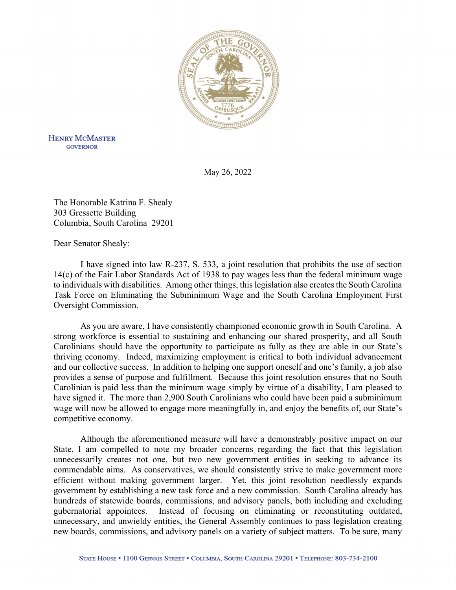

**HENRY MCMASTER GOVERNOR** 

May 26, 2022

The Honorable Katrina F. Shealy 303 Gressette Building Columbia, South Carolina 29201

Dear Senator Shealy:

 I have signed into law R-237, S. 533, a joint resolution that prohibits the use of section 14(c) of the Fair Labor Standards Act of 1938 to pay wages less than the federal minimum wage to individuals with disabilities. Among other things, this legislation also creates the South Carolina Task Force on Eliminating the Subminimum Wage and the South Carolina Employment First Oversight Commission.

 As you are aware, I have consistently championed economic growth in South Carolina. A strong workforce is essential to sustaining and enhancing our shared prosperity, and all South Carolinians should have the opportunity to participate as fully as they are able in our State's thriving economy. Indeed, maximizing employment is critical to both individual advancement and our collective success. In addition to helping one support oneself and one's family, a job also provides a sense of purpose and fulfillment. Because this joint resolution ensures that no South Carolinian is paid less than the minimum wage simply by virtue of a disability, I am pleased to have signed it. The more than 2,900 South Carolinians who could have been paid a subminimum wage will now be allowed to engage more meaningfully in, and enjoy the benefits of, our State's competitive economy.

 Although the aforementioned measure will have a demonstrably positive impact on our State, I am compelled to note my broader concerns regarding the fact that this legislation unnecessarily creates not one, but two new government entities in seeking to advance its commendable aims. As conservatives, we should consistently strive to make government more efficient without making government larger. Yet, this joint resolution needlessly expands government by establishing a new task force and a new commission. South Carolina already has hundreds of statewide boards, commissions, and advisory panels, both including and excluding gubernatorial appointees. Instead of focusing on eliminating or reconstituting outdated, unnecessary, and unwieldy entities, the General Assembly continues to pass legislation creating new boards, commissions, and advisory panels on a variety of subject matters. To be sure, many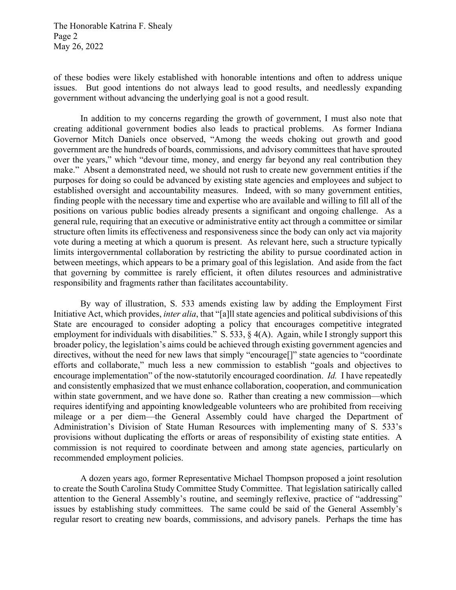The Honorable Katrina F. Shealy Page 2 May 26, 2022

of these bodies were likely established with honorable intentions and often to address unique issues. But good intentions do not always lead to good results, and needlessly expanding government without advancing the underlying goal is not a good result.

In addition to my concerns regarding the growth of government, I must also note that creating additional government bodies also leads to practical problems. As former Indiana Governor Mitch Daniels once observed, "Among the weeds choking out growth and good government are the hundreds of boards, commissions, and advisory committees that have sprouted over the years," which "devour time, money, and energy far beyond any real contribution they make." Absent a demonstrated need, we should not rush to create new government entities if the purposes for doing so could be advanced by existing state agencies and employees and subject to established oversight and accountability measures. Indeed, with so many government entities, finding people with the necessary time and expertise who are available and willing to fill all of the positions on various public bodies already presents a significant and ongoing challenge. As a general rule, requiring that an executive or administrative entity act through a committee or similar structure often limits its effectiveness and responsiveness since the body can only act via majority vote during a meeting at which a quorum is present. As relevant here, such a structure typically limits intergovernmental collaboration by restricting the ability to pursue coordinated action in between meetings, which appears to be a primary goal of this legislation. And aside from the fact that governing by committee is rarely efficient, it often dilutes resources and administrative responsibility and fragments rather than facilitates accountability.

By way of illustration, S. 533 amends existing law by adding the Employment First Initiative Act, which provides, *inter alia*, that "[a]ll state agencies and political subdivisions of this State are encouraged to consider adopting a policy that encourages competitive integrated employment for individuals with disabilities." S. 533, § 4(A). Again, while I strongly support this broader policy, the legislation's aims could be achieved through existing government agencies and directives, without the need for new laws that simply "encourage<sup>[]"</sup> state agencies to "coordinate efforts and collaborate," much less a new commission to establish "goals and objectives to encourage implementation" of the now-statutorily encouraged coordination. *Id.* I have repeatedly and consistently emphasized that we must enhance collaboration, cooperation, and communication within state government, and we have done so. Rather than creating a new commission—which requires identifying and appointing knowledgeable volunteers who are prohibited from receiving mileage or a per diem—the General Assembly could have charged the Department of Administration's Division of State Human Resources with implementing many of S. 533's provisions without duplicating the efforts or areas of responsibility of existing state entities. A commission is not required to coordinate between and among state agencies, particularly on recommended employment policies.

A dozen years ago, former Representative Michael Thompson proposed a joint resolution to create the South Carolina Study Committee Study Committee. That legislation satirically called attention to the General Assembly's routine, and seemingly reflexive, practice of "addressing" issues by establishing study committees. The same could be said of the General Assembly's regular resort to creating new boards, commissions, and advisory panels. Perhaps the time has